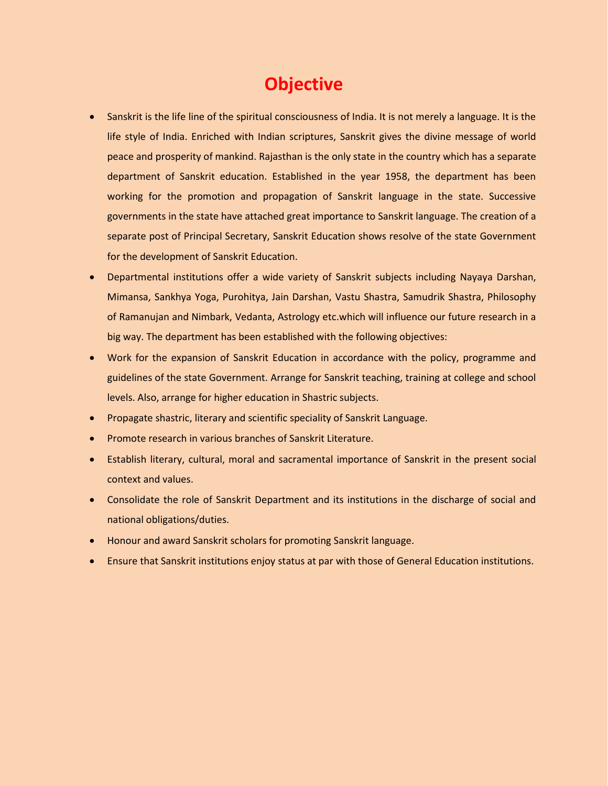## **Objective**

- Sanskrit is the life line of the spiritual consciousness of India. It is not merely a language. It is the life style of India. Enriched with Indian scriptures, Sanskrit gives the divine message of world peace and prosperity of mankind. Rajasthan is the only state in the country which has a separate department of Sanskrit education. Established in the year 1958, the department has been working for the promotion and propagation of Sanskrit language in the state. Successive governments in the state have attached great importance to Sanskrit language. The creation of a separate post of Principal Secretary, Sanskrit Education shows resolve of the state Government for the development of Sanskrit Education.
- Departmental institutions offer a wide variety of Sanskrit subjects including Nayaya Darshan, Mimansa, Sankhya Yoga, Purohitya, Jain Darshan, Vastu Shastra, Samudrik Shastra, Philosophy of Ramanujan and Nimbark, Vedanta, Astrology etc.which will influence our future research in a big way. The department has been established with the following objectives:
- Work for the expansion of Sanskrit Education in accordance with the policy, programme and guidelines of the state Government. Arrange for Sanskrit teaching, training at college and school levels. Also, arrange for higher education in Shastric subjects.
- Propagate shastric, literary and scientific speciality of Sanskrit Language.
- Promote research in various branches of Sanskrit Literature.
- Establish literary, cultural, moral and sacramental importance of Sanskrit in the present social context and values.
- Consolidate the role of Sanskrit Department and its institutions in the discharge of social and national obligations/duties.
- Honour and award Sanskrit scholars for promoting Sanskrit language.
- Ensure that Sanskrit institutions enjoy status at par with those of General Education institutions.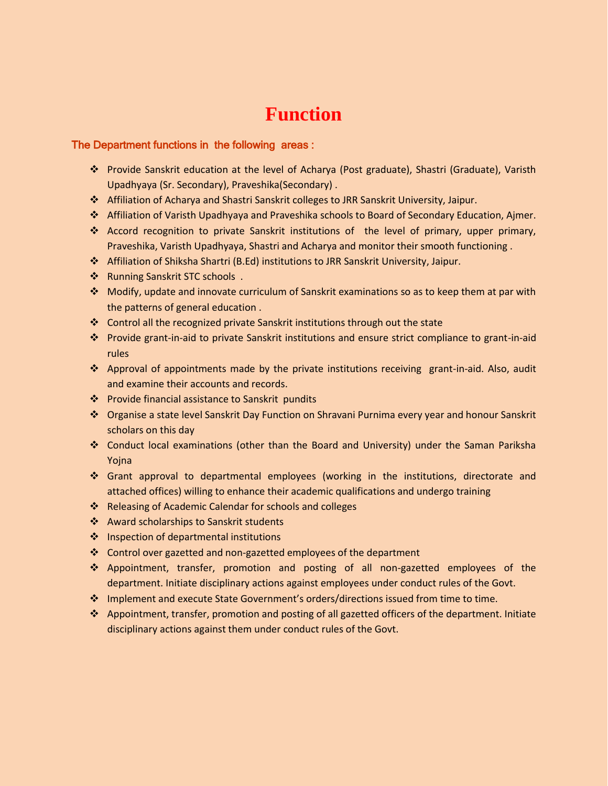#### **Function**

#### The Department functions in the following areas :

- Provide Sanskrit education at the level of Acharya (Post graduate), Shastri (Graduate), Varisth Upadhyaya (Sr. Secondary), Praveshika(Secondary) .
- Affiliation of Acharya and Shastri Sanskrit colleges to JRR Sanskrit University, Jaipur.
- Affiliation of Varisth Upadhyaya and Praveshika schools to Board of Secondary Education, Ajmer.
- Accord recognition to private Sanskrit institutions of the level of primary, upper primary, Praveshika, Varisth Upadhyaya, Shastri and Acharya and monitor their smooth functioning .
- Affiliation of Shiksha Shartri (B.Ed) institutions to JRR Sanskrit University, Jaipur.
- ❖ Running Sanskrit STC schools .
- Modify, update and innovate curriculum of Sanskrit examinations so as to keep them at par with the patterns of general education .
- Control all the recognized private Sanskrit institutions through out the state
- Provide grant-in-aid to private Sanskrit institutions and ensure strict compliance to grant-in-aid rules
- Approval of appointments made by the private institutions receiving grant-in-aid. Also, audit and examine their accounts and records.
- ❖ Provide financial assistance to Sanskrit pundits
- Organise a state level Sanskrit Day Function on Shravani Purnima every year and honour Sanskrit scholars on this day
- Conduct local examinations (other than the Board and University) under the Saman Pariksha Yojna
- Grant approval to departmental employees (working in the institutions, directorate and attached offices) willing to enhance their academic qualifications and undergo training
- \* Releasing of Academic Calendar for schools and colleges
- Award scholarships to Sanskrit students
- $\cdot$  Inspection of departmental institutions
- Control over gazetted and non-gazetted employees of the department
- Appointment, transfer, promotion and posting of all non-gazetted employees of the department. Initiate disciplinary actions against employees under conduct rules of the Govt.
- Implement and execute State Government's orders/directions issued from time to time.
- Appointment, transfer, promotion and posting of all gazetted officers of the department. Initiate disciplinary actions against them under conduct rules of the Govt.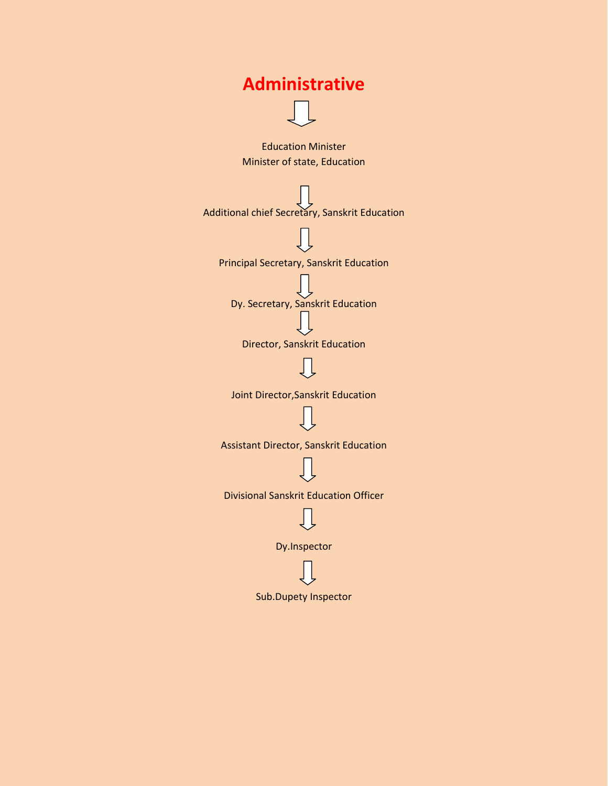